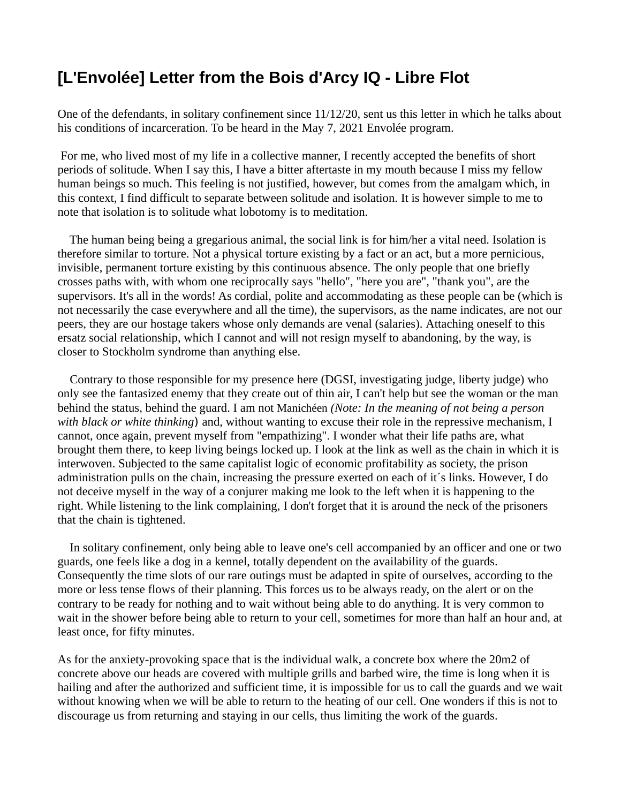## **[L'Envolée] Letter from the Bois d'Arcy IQ - Libre Flot**

One of the defendants, in solitary confinement since 11/12/20, sent us this letter in which he talks about his conditions of incarceration. To be heard in the May 7, 2021 Envolée program.

 For me, who lived most of my life in a collective manner, I recently accepted the benefits of short periods of solitude. When I say this, I have a bitter aftertaste in my mouth because I miss my fellow human beings so much. This feeling is not justified, however, but comes from the amalgam which, in this context, I find difficult to separate between solitude and isolation. It is however simple to me to note that isolation is to solitude what lobotomy is to meditation.

 The human being being a gregarious animal, the social link is for him/her a vital need. Isolation is therefore similar to torture. Not a physical torture existing by a fact or an act, but a more pernicious, invisible, permanent torture existing by this continuous absence. The only people that one briefly crosses paths with, with whom one reciprocally says "hello", "here you are", "thank you", are the supervisors. It's all in the words! As cordial, polite and accommodating as these people can be (which is not necessarily the case everywhere and all the time), the supervisors, as the name indicates, are not our peers, they are our hostage takers whose only demands are venal (salaries). Attaching oneself to this ersatz social relationship, which I cannot and will not resign myself to abandoning, by the way, is closer to Stockholm syndrome than anything else.

 Contrary to those responsible for my presence here (DGSI, investigating judge, liberty judge) who only see the fantasized enemy that they create out of thin air, I can't help but see the woman or the man behind the status, behind the guard. I am not Manichéen *(Note: In the meaning of not being a person with black or white thinking*) and, without wanting to excuse their role in the repressive mechanism, I cannot, once again, prevent myself from "empathizing". I wonder what their life paths are, what brought them there, to keep living beings locked up. I look at the link as well as the chain in which it is interwoven. Subjected to the same capitalist logic of economic profitability as society, the prison administration pulls on the chain, increasing the pressure exerted on each of it´s links. However, I do not deceive myself in the way of a conjurer making me look to the left when it is happening to the right. While listening to the link complaining, I don't forget that it is around the neck of the prisoners that the chain is tightened.

 In solitary confinement, only being able to leave one's cell accompanied by an officer and one or two guards, one feels like a dog in a kennel, totally dependent on the availability of the guards. Consequently the time slots of our rare outings must be adapted in spite of ourselves, according to the more or less tense flows of their planning. This forces us to be always ready, on the alert or on the contrary to be ready for nothing and to wait without being able to do anything. It is very common to wait in the shower before being able to return to your cell, sometimes for more than half an hour and, at least once, for fifty minutes.

As for the anxiety-provoking space that is the individual walk, a concrete box where the 20m2 of concrete above our heads are covered with multiple grills and barbed wire, the time is long when it is hailing and after the authorized and sufficient time, it is impossible for us to call the guards and we wait without knowing when we will be able to return to the heating of our cell. One wonders if this is not to discourage us from returning and staying in our cells, thus limiting the work of the guards.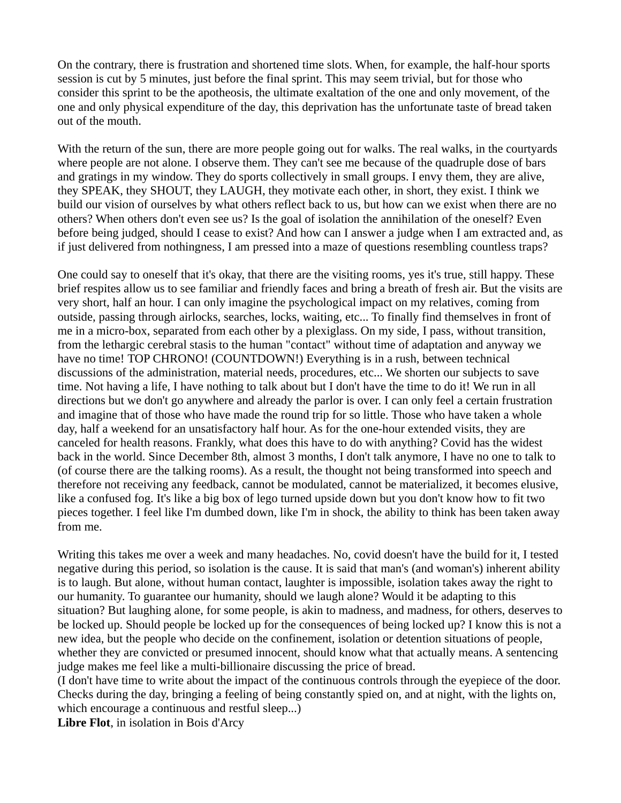On the contrary, there is frustration and shortened time slots. When, for example, the half-hour sports session is cut by 5 minutes, just before the final sprint. This may seem trivial, but for those who consider this sprint to be the apotheosis, the ultimate exaltation of the one and only movement, of the one and only physical expenditure of the day, this deprivation has the unfortunate taste of bread taken out of the mouth.

With the return of the sun, there are more people going out for walks. The real walks, in the courtyards where people are not alone. I observe them. They can't see me because of the quadruple dose of bars and gratings in my window. They do sports collectively in small groups. I envy them, they are alive, they SPEAK, they SHOUT, they LAUGH, they motivate each other, in short, they exist. I think we build our vision of ourselves by what others reflect back to us, but how can we exist when there are no others? When others don't even see us? Is the goal of isolation the annihilation of the oneself? Even before being judged, should I cease to exist? And how can I answer a judge when I am extracted and, as if just delivered from nothingness, I am pressed into a maze of questions resembling countless traps?

One could say to oneself that it's okay, that there are the visiting rooms, yes it's true, still happy. These brief respites allow us to see familiar and friendly faces and bring a breath of fresh air. But the visits are very short, half an hour. I can only imagine the psychological impact on my relatives, coming from outside, passing through airlocks, searches, locks, waiting, etc... To finally find themselves in front of me in a micro-box, separated from each other by a plexiglass. On my side, I pass, without transition, from the lethargic cerebral stasis to the human "contact" without time of adaptation and anyway we have no time! TOP CHRONO! (COUNTDOWN!) Everything is in a rush, between technical discussions of the administration, material needs, procedures, etc... We shorten our subjects to save time. Not having a life, I have nothing to talk about but I don't have the time to do it! We run in all directions but we don't go anywhere and already the parlor is over. I can only feel a certain frustration and imagine that of those who have made the round trip for so little. Those who have taken a whole day, half a weekend for an unsatisfactory half hour. As for the one-hour extended visits, they are canceled for health reasons. Frankly, what does this have to do with anything? Covid has the widest back in the world. Since December 8th, almost 3 months, I don't talk anymore, I have no one to talk to (of course there are the talking rooms). As a result, the thought not being transformed into speech and therefore not receiving any feedback, cannot be modulated, cannot be materialized, it becomes elusive, like a confused fog. It's like a big box of lego turned upside down but you don't know how to fit two pieces together. I feel like I'm dumbed down, like I'm in shock, the ability to think has been taken away from me.

Writing this takes me over a week and many headaches. No, covid doesn't have the build for it, I tested negative during this period, so isolation is the cause. It is said that man's (and woman's) inherent ability is to laugh. But alone, without human contact, laughter is impossible, isolation takes away the right to our humanity. To guarantee our humanity, should we laugh alone? Would it be adapting to this situation? But laughing alone, for some people, is akin to madness, and madness, for others, deserves to be locked up. Should people be locked up for the consequences of being locked up? I know this is not a new idea, but the people who decide on the confinement, isolation or detention situations of people, whether they are convicted or presumed innocent, should know what that actually means. A sentencing judge makes me feel like a multi-billionaire discussing the price of bread.

(I don't have time to write about the impact of the continuous controls through the eyepiece of the door. Checks during the day, bringing a feeling of being constantly spied on, and at night, with the lights on, which encourage a continuous and restful sleep...)

**Libre Flot**, in isolation in Bois d'Arcy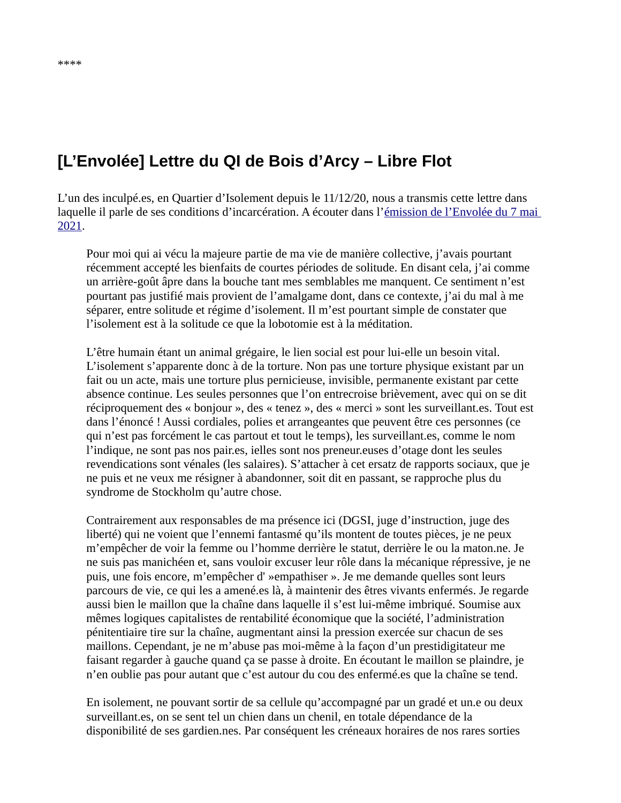## **[L'Envolée] Lettre du QI de Bois d'Arcy – Libre Flot**

L'un des inculpé.es, en Quartier d'Isolement depuis le 11/12/20, nous a transmis cette lettre dans laquelle il parle de ses conditions d'incarcération. A écouter dans l'émission de l'Envolée du 7 mai [2021.](https://lenvolee.net/petite-victoire-pour-des-prisonniers-de-conde-lettres-du-qi-encore-un-mort-en-cra/)

Pour moi qui ai vécu la majeure partie de ma vie de manière collective, j'avais pourtant récemment accepté les bienfaits de courtes périodes de solitude. En disant cela, j'ai comme un arrière-goût âpre dans la bouche tant mes semblables me manquent. Ce sentiment n'est pourtant pas justifié mais provient de l'amalgame dont, dans ce contexte, j'ai du mal à me séparer, entre solitude et régime d'isolement. Il m'est pourtant simple de constater que l'isolement est à la solitude ce que la lobotomie est à la méditation.

L'être humain étant un animal grégaire, le lien social est pour lui-elle un besoin vital. L'isolement s'apparente donc à de la torture. Non pas une torture physique existant par un fait ou un acte, mais une torture plus pernicieuse, invisible, permanente existant par cette absence continue. Les seules personnes que l'on entrecroise brièvement, avec qui on se dit réciproquement des « bonjour », des « tenez », des « merci » sont les surveillant.es. Tout est dans l'énoncé ! Aussi cordiales, polies et arrangeantes que peuvent être ces personnes (ce qui n'est pas forcément le cas partout et tout le temps), les surveillant.es, comme le nom l'indique, ne sont pas nos pair.es, ielles sont nos preneur.euses d'otage dont les seules revendications sont vénales (les salaires). S'attacher à cet ersatz de rapports sociaux, que je ne puis et ne veux me résigner à abandonner, soit dit en passant, se rapproche plus du syndrome de Stockholm qu'autre chose.

Contrairement aux responsables de ma présence ici (DGSI, juge d'instruction, juge des liberté) qui ne voient que l'ennemi fantasmé qu'ils montent de toutes pièces, je ne peux m'empêcher de voir la femme ou l'homme derrière le statut, derrière le ou la maton.ne. Je ne suis pas manichéen et, sans vouloir excuser leur rôle dans la mécanique répressive, je ne puis, une fois encore, m'empêcher d' »empathiser ». Je me demande quelles sont leurs parcours de vie, ce qui les a amené.es là, à maintenir des êtres vivants enfermés. Je regarde aussi bien le maillon que la chaîne dans laquelle il s'est lui-même imbriqué. Soumise aux mêmes logiques capitalistes de rentabilité économique que la société, l'administration pénitentiaire tire sur la chaîne, augmentant ainsi la pression exercée sur chacun de ses maillons. Cependant, je ne m'abuse pas moi-même à la façon d'un prestidigitateur me faisant regarder à gauche quand ça se passe à droite. En écoutant le maillon se plaindre, je n'en oublie pas pour autant que c'est autour du cou des enfermé.es que la chaîne se tend.

En isolement, ne pouvant sortir de sa cellule qu'accompagné par un gradé et un.e ou deux surveillant.es, on se sent tel un chien dans un chenil, en totale dépendance de la disponibilité de ses gardien.nes. Par conséquent les créneaux horaires de nos rares sorties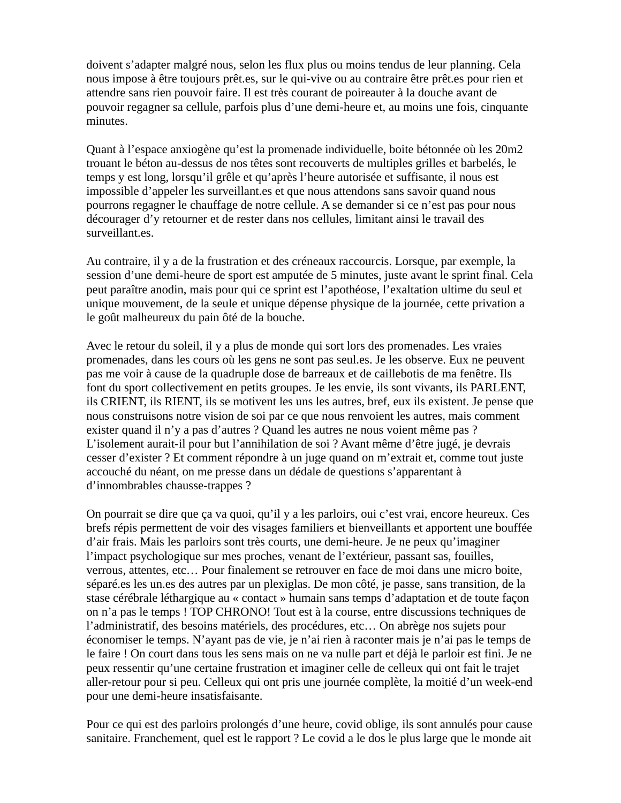doivent s'adapter malgré nous, selon les flux plus ou moins tendus de leur planning. Cela nous impose à être toujours prêt.es, sur le qui-vive ou au contraire être prêt.es pour rien et attendre sans rien pouvoir faire. Il est très courant de poireauter à la douche avant de pouvoir regagner sa cellule, parfois plus d'une demi-heure et, au moins une fois, cinquante minutes.

Quant à l'espace anxiogène qu'est la promenade individuelle, boite bétonnée où les 20m2 trouant le béton au-dessus de nos têtes sont recouverts de multiples grilles et barbelés, le temps y est long, lorsqu'il grêle et qu'après l'heure autorisée et suffisante, il nous est impossible d'appeler les surveillant.es et que nous attendons sans savoir quand nous pourrons regagner le chauffage de notre cellule. A se demander si ce n'est pas pour nous décourager d'y retourner et de rester dans nos cellules, limitant ainsi le travail des surveillant.es.

Au contraire, il y a de la frustration et des créneaux raccourcis. Lorsque, par exemple, la session d'une demi-heure de sport est amputée de 5 minutes, juste avant le sprint final. Cela peut paraître anodin, mais pour qui ce sprint est l'apothéose, l'exaltation ultime du seul et unique mouvement, de la seule et unique dépense physique de la journée, cette privation a le goût malheureux du pain ôté de la bouche.

Avec le retour du soleil, il y a plus de monde qui sort lors des promenades. Les vraies promenades, dans les cours où les gens ne sont pas seul.es. Je les observe. Eux ne peuvent pas me voir à cause de la quadruple dose de barreaux et de caillebotis de ma fenêtre. Ils font du sport collectivement en petits groupes. Je les envie, ils sont vivants, ils PARLENT, ils CRIENT, ils RIENT, ils se motivent les uns les autres, bref, eux ils existent. Je pense que nous construisons notre vision de soi par ce que nous renvoient les autres, mais comment exister quand il n'y a pas d'autres ? Quand les autres ne nous voient même pas ? L'isolement aurait-il pour but l'annihilation de soi ? Avant même d'être jugé, je devrais cesser d'exister ? Et comment répondre à un juge quand on m'extrait et, comme tout juste accouché du néant, on me presse dans un dédale de questions s'apparentant à d'innombrables chausse-trappes ?

On pourrait se dire que ça va quoi, qu'il y a les parloirs, oui c'est vrai, encore heureux. Ces brefs répis permettent de voir des visages familiers et bienveillants et apportent une bouffée d'air frais. Mais les parloirs sont très courts, une demi-heure. Je ne peux qu'imaginer l'impact psychologique sur mes proches, venant de l'extérieur, passant sas, fouilles, verrous, attentes, etc… Pour finalement se retrouver en face de moi dans une micro boite, séparé.es les un.es des autres par un plexiglas. De mon côté, je passe, sans transition, de la stase cérébrale léthargique au « contact » humain sans temps d'adaptation et de toute façon on n'a pas le temps ! TOP CHRONO! Tout est à la course, entre discussions techniques de l'administratif, des besoins matériels, des procédures, etc… On abrège nos sujets pour économiser le temps. N'ayant pas de vie, je n'ai rien à raconter mais je n'ai pas le temps de le faire ! On court dans tous les sens mais on ne va nulle part et déjà le parloir est fini. Je ne peux ressentir qu'une certaine frustration et imaginer celle de celleux qui ont fait le trajet aller-retour pour si peu. Celleux qui ont pris une journée complète, la moitié d'un week-end pour une demi-heure insatisfaisante.

Pour ce qui est des parloirs prolongés d'une heure, covid oblige, ils sont annulés pour cause sanitaire. Franchement, quel est le rapport ? Le covid a le dos le plus large que le monde ait